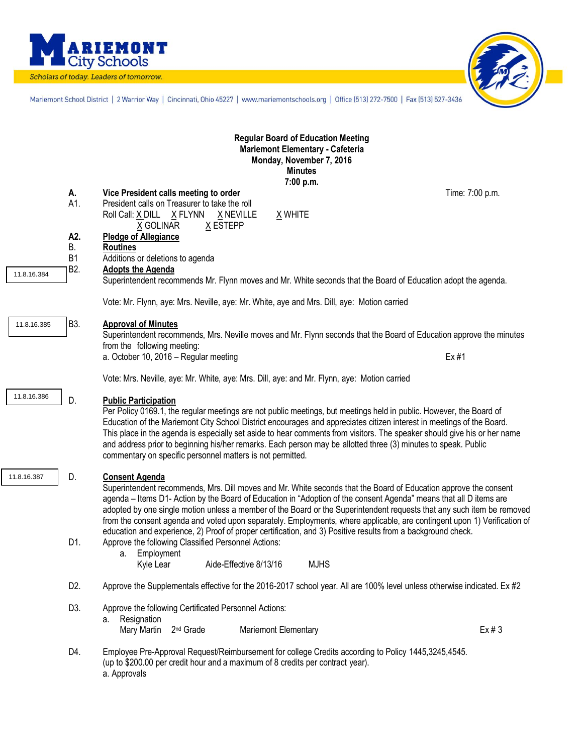

Scholars of today. Leaders of tomorrow.



Mariemont School District | 2 Warrior Way | Cincinnati, Ohio 45227 | www.mariemontschools.org | Office [513] 272-7500 | Fax [513] 527-3436

| <b>Regular Board of Education Meeting</b><br>Mariemont Elementary - Cafeteria<br>Monday, November 7, 2016<br><b>Minutes</b><br>7:00 p.m. |                                                                                             |                                                                                                                                                                                                                                                                                                                                                                                                                                                                                                                                                                                                                                                                                                                                                                     |                 |  |  |  |  |  |  |  |  |
|------------------------------------------------------------------------------------------------------------------------------------------|---------------------------------------------------------------------------------------------|---------------------------------------------------------------------------------------------------------------------------------------------------------------------------------------------------------------------------------------------------------------------------------------------------------------------------------------------------------------------------------------------------------------------------------------------------------------------------------------------------------------------------------------------------------------------------------------------------------------------------------------------------------------------------------------------------------------------------------------------------------------------|-----------------|--|--|--|--|--|--|--|--|
|                                                                                                                                          | А.<br>A1.                                                                                   | Vice President calls meeting to order<br>President calls on Treasurer to take the roll<br>Roll Call: X DILL X FLYNN<br>X NEVILLE<br>X WHITE<br>X GOLINAR<br>X ESTEPP                                                                                                                                                                                                                                                                                                                                                                                                                                                                                                                                                                                                | Time: 7:00 p.m. |  |  |  |  |  |  |  |  |
| 11.8.16.384                                                                                                                              | A2.<br>Β.<br><b>B1</b><br>B <sub>2</sub> .                                                  | <b>Pledge of Allegiance</b><br><b>Routines</b><br>Additions or deletions to agenda<br><b>Adopts the Agenda</b><br>Superintendent recommends Mr. Flynn moves and Mr. White seconds that the Board of Education adopt the agenda.                                                                                                                                                                                                                                                                                                                                                                                                                                                                                                                                     |                 |  |  |  |  |  |  |  |  |
|                                                                                                                                          | Vote: Mr. Flynn, aye: Mrs. Neville, aye: Mr. White, aye and Mrs. Dill, aye: Motion carried  |                                                                                                                                                                                                                                                                                                                                                                                                                                                                                                                                                                                                                                                                                                                                                                     |                 |  |  |  |  |  |  |  |  |
| 11.8.16.385                                                                                                                              | B3.                                                                                         | <b>Approval of Minutes</b><br>Superintendent recommends, Mrs. Neville moves and Mr. Flynn seconds that the Board of Education approve the minutes<br>from the following meeting:<br>a. October 10, 2016 - Regular meeting                                                                                                                                                                                                                                                                                                                                                                                                                                                                                                                                           | Ex #1           |  |  |  |  |  |  |  |  |
|                                                                                                                                          | Vote: Mrs. Neville, aye: Mr. White, aye: Mrs. Dill, aye: and Mr. Flynn, aye: Motion carried |                                                                                                                                                                                                                                                                                                                                                                                                                                                                                                                                                                                                                                                                                                                                                                     |                 |  |  |  |  |  |  |  |  |
| 11.8.16.386                                                                                                                              | D.                                                                                          | <b>Public Participation</b><br>Per Policy 0169.1, the regular meetings are not public meetings, but meetings held in public. However, the Board of<br>Education of the Mariemont City School District encourages and appreciates citizen interest in meetings of the Board.<br>This place in the agenda is especially set aside to hear comments from visitors. The speaker should give his or her name<br>and address prior to beginning his/her remarks. Each person may be allotted three (3) minutes to speak. Public<br>commentary on specific personnel matters is not permitted.                                                                                                                                                                             |                 |  |  |  |  |  |  |  |  |
| 11.8.16.387                                                                                                                              | D.<br>D1.                                                                                   | <b>Consent Agenda</b><br>Superintendent recommends, Mrs. Dill moves and Mr. White seconds that the Board of Education approve the consent<br>agenda – Items D1- Action by the Board of Education in "Adoption of the consent Agenda" means that all D items are<br>adopted by one single motion unless a member of the Board or the Superintendent requests that any such item be removed<br>from the consent agenda and voted upon separately. Employments, where applicable, are contingent upon 1) Verification of<br>education and experience, 2) Proof of proper certification, and 3) Positive results from a background check.<br>Approve the following Classified Personnel Actions:<br>a. Employment<br><b>MJHS</b><br>Kyle Lear<br>Aide-Effective 8/13/16 |                 |  |  |  |  |  |  |  |  |
|                                                                                                                                          | D <sub>2</sub> .                                                                            | Approve the Supplementals effective for the 2016-2017 school year. All are 100% level unless otherwise indicated. Ex #2                                                                                                                                                                                                                                                                                                                                                                                                                                                                                                                                                                                                                                             |                 |  |  |  |  |  |  |  |  |
|                                                                                                                                          | D3.                                                                                         | Approve the following Certificated Personnel Actions:<br>Resignation<br>а.<br>Mary Martin 2 <sup>nd</sup> Grade<br>Mariemont Elementary                                                                                                                                                                                                                                                                                                                                                                                                                                                                                                                                                                                                                             | Ex#3            |  |  |  |  |  |  |  |  |
|                                                                                                                                          | D4.                                                                                         | Employee Pre-Approval Request/Reimbursement for college Credits according to Policy 1445,3245,4545.<br>(up to \$200.00 per credit hour and a maximum of 8 credits per contract year).<br>a. Approvals                                                                                                                                                                                                                                                                                                                                                                                                                                                                                                                                                               |                 |  |  |  |  |  |  |  |  |